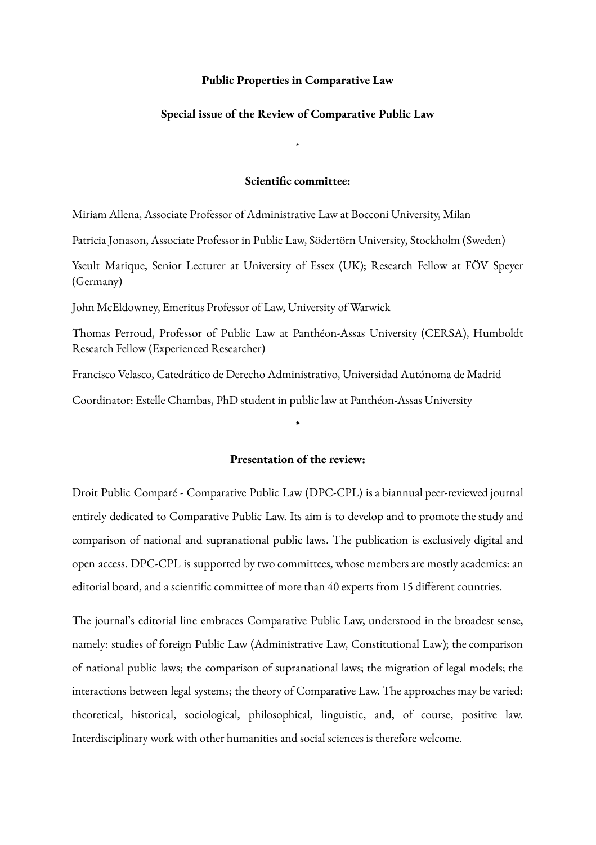### **Public Properties in Comparative Law**

### **Special issue of the Review of Comparative Public Law**

\*

### **Scientific committee:**

Miriam Allena, Associate Professor of Administrative Law at Bocconi University, Milan

Patricia Jonason, Associate Professor in Public Law, Södertörn University, Stockholm (Sweden)

Yseult Marique, Senior Lecturer at University of Essex (UK); Research Fellow at FÖV Speyer (Germany)

John McEldowney, Emeritus Professor of Law, University of Warwick

Thomas Perroud, Professor of Public Law at Panthéon-Assas University (CERSA), Humboldt Research Fellow (Experienced Researcher)

Francisco Velasco, Catedrático de Derecho Administrativo, Universidad Autónoma de Madrid

Coordinator: Estelle Chambas, PhD student in public law at Panthéon-Assas University

## **Presentation of the review:**

**\***

Droit Public Comparé - Comparative Public Law (DPC-CPL) is a biannual peer-reviewed journal entirely dedicated to Comparative Public Law. Its aim is to develop and to promote the study and comparison of national and supranational public laws. The publication is exclusively digital and open access. DPC-CPL is supported by two committees, whose members are mostly academics: an editorial board, and a scientific committee of more than 40 experts from 15 different countries.

The journal's editorial line embraces Comparative Public Law, understood in the broadest sense, namely: studies of foreign Public Law (Administrative Law, Constitutional Law); the comparison of national public laws; the comparison of supranational laws; the migration of legal models; the interactions between legal systems; the theory of Comparative Law. The approaches may be varied: theoretical, historical, sociological, philosophical, linguistic, and, of course, positive law. Interdisciplinary work with other humanities and social sciences is therefore welcome.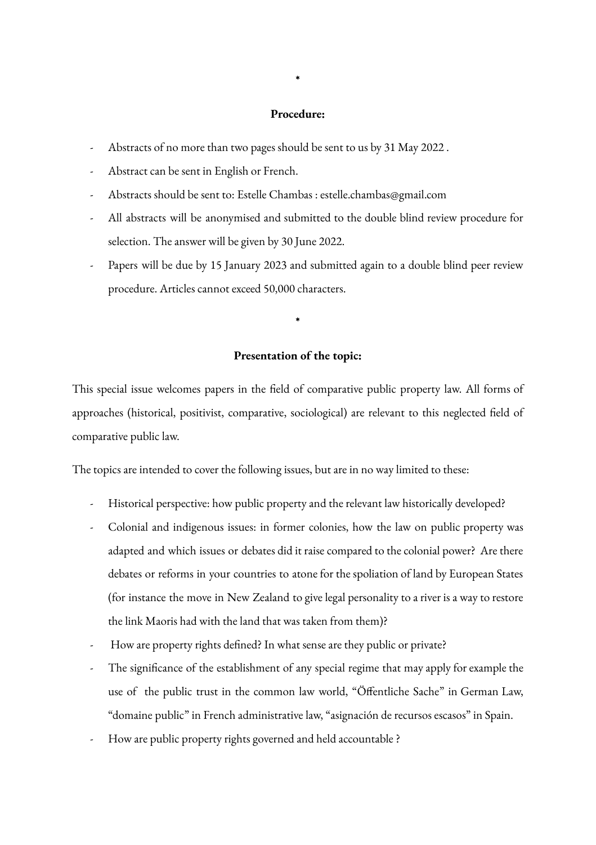### **Procedure:**

- Abstracts of no more than two pages should be sent to us by 31 May 2022 .
- Abstract can be sent in English or French.
- Abstracts should be sent to: Estelle Chambas : estelle.chambas@gmail.com
- All abstracts will be anonymised and submitted to the double blind review procedure for selection. The answer will be given by 30 June 2022.
- Papers will be due by 15 January 2023 and submitted again to a double blind peer review procedure. Articles cannot exceed 50,000 characters.

# **Presentation of the topic:**

**\***

This special issue welcomes papers in the field of comparative public property law. All forms of approaches (historical, positivist, comparative, sociological) are relevant to this neglected field of comparative public law.

The topics are intended to cover the following issues, but are in no way limited to these:

- Historical perspective: how public property and the relevant law historically developed?
- Colonial and indigenous issues: in former colonies, how the law on public property was adapted and which issues or debates did it raise compared to the colonial power? Are there debates or reforms in your countries to atone for the spoliation of land by European States (for instance the move in New Zealand to give legal personality to a river is a way to restore the link Maoris had with the land that was taken from them)?
- How are property rights defined? In what sense are they public or private?
- The significance of the establishment of any special regime that may apply for example the use of the public trust in the common law world, "Öffentliche Sache" in German Law, "domaine public" in French administrative law, "asignación de recursos escasos" in Spain.
- How are public property rights governed and held accountable ?